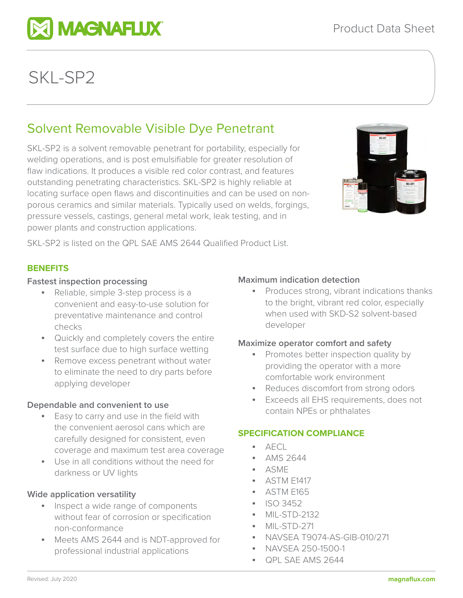

**MI MAGNAFLUX** 

# Solvent Removable Visible Dye Penetrant

SKL-SP2 is a solvent removable penetrant for portability, especially for welding operations, and is post emulsifiable for greater resolution of flaw indications. It produces a visible red color contrast, and features outstanding penetrating characteristics. SKL-SP2 is highly reliable at locating surface open flaws and discontinuities and can be used on nonporous ceramics and similar materials. Typically used on welds, forgings, pressure vessels, castings, general metal work, leak testing, and in power plants and construction applications.



SKL-SP2 is listed on the QPL SAE AMS 2644 Qualified Product List.

# **BENEFITS**

## **Fastest inspection processing**

- Reliable, simple 3-step process is a convenient and easy-to-use solution for preventative maintenance and control checks
- Quickly and completely covers the entire test surface due to high surface wetting
- Remove excess penetrant without water to eliminate the need to dry parts before applying developer

# **Dependable and convenient to use**

- Easy to carry and use in the field with the convenient aerosol cans which are carefully designed for consistent, even coverage and maximum test area coverage
- Use in all conditions without the need for darkness or UV lights

# **Wide application versatility**

- Inspect a wide range of components without fear of corrosion or specification non-conformance
- Meets AMS 2644 and is NDT-approved for professional industrial applications

# **Maximum indication detection**

• Produces strong, vibrant indications thanks to the bright, vibrant red color, especially when used with SKD-S2 solvent-based developer

# **Maximize operator comfort and safety**

- Promotes better inspection quality by providing the operator with a more comfortable work environment
- Reduces discomfort from strong odors
- Exceeds all EHS requirements, does not contain NPEs or phthalates

# **SPECIFICATION COMPLIANCE**

- $\overline{AFC}$
- AMS 2644
- ASME
- ASTM E1417
- ASTM E165
- ISO 3452
- MIL-STD-2132
- MIL-STD-271
- NAVSEA T9074-AS-GIB-010/271
- NAVSEA 250-1500-1
- QPL SAE AMS 2644